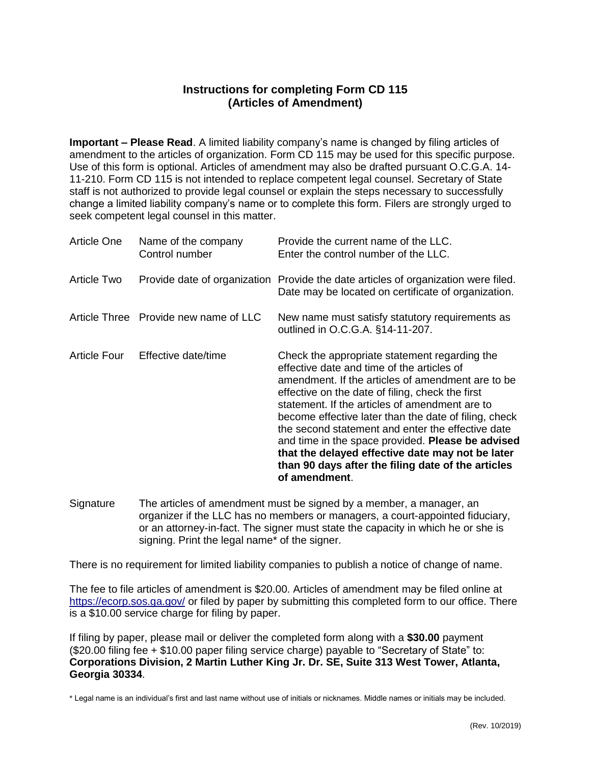## **Instructions for completing Form CD 115 (Articles of Amendment)**

**Important – Please Read**. A limited liability company's name is changed by filing articles of amendment to the articles of organization. Form CD 115 may be used for this specific purpose. Use of this form is optional. Articles of amendment may also be drafted pursuant O.C.G.A. 14- 11-210. Form CD 115 is not intended to replace competent legal counsel. Secretary of State staff is not authorized to provide legal counsel or explain the steps necessary to successfully change a limited liability company's name or to complete this form. Filers are strongly urged to seek competent legal counsel in this matter.

| Article One  | Name of the company<br>Control number | Provide the current name of the LLC.<br>Enter the control number of the LLC.                                                                                                                                                                                                                                                                                                                                                                                                                                                                         |
|--------------|---------------------------------------|------------------------------------------------------------------------------------------------------------------------------------------------------------------------------------------------------------------------------------------------------------------------------------------------------------------------------------------------------------------------------------------------------------------------------------------------------------------------------------------------------------------------------------------------------|
| Article Two  |                                       | Provide date of organization Provide the date articles of organization were filed.<br>Date may be located on certificate of organization.                                                                                                                                                                                                                                                                                                                                                                                                            |
|              | Article Three Provide new name of LLC | New name must satisfy statutory requirements as<br>outlined in O.C.G.A. §14-11-207.                                                                                                                                                                                                                                                                                                                                                                                                                                                                  |
| Article Four | Effective date/time                   | Check the appropriate statement regarding the<br>effective date and time of the articles of<br>amendment. If the articles of amendment are to be<br>effective on the date of filing, check the first<br>statement. If the articles of amendment are to<br>become effective later than the date of filing, check<br>the second statement and enter the effective date<br>and time in the space provided. Please be advised<br>that the delayed effective date may not be later<br>than 90 days after the filing date of the articles<br>of amendment. |

Signature The articles of amendment must be signed by a member, a manager, an organizer if the LLC has no members or managers, a court-appointed fiduciary, or an attorney-in-fact. The signer must state the capacity in which he or she is signing. Print the legal name\* of the signer.

There is no requirement for limited liability companies to publish a notice of change of name.

The fee to file articles of amendment is \$20.00. Articles of amendment may be filed online at <https://ecorp.sos.ga.gov/> or filed by paper by submitting this completed form to our office. There is a \$10.00 service charge for filing by paper.

If filing by paper, please mail or deliver the completed form along with a **\$30.00** payment (\$20.00 filing fee + \$10.00 paper filing service charge) payable to "Secretary of State" to: **Corporations Division, 2 Martin Luther King Jr. Dr. SE, Suite 313 West Tower, Atlanta, Georgia 30334**.

\* Legal name is an individual's first and last name without use of initials or nicknames. Middle names or initials may be included.